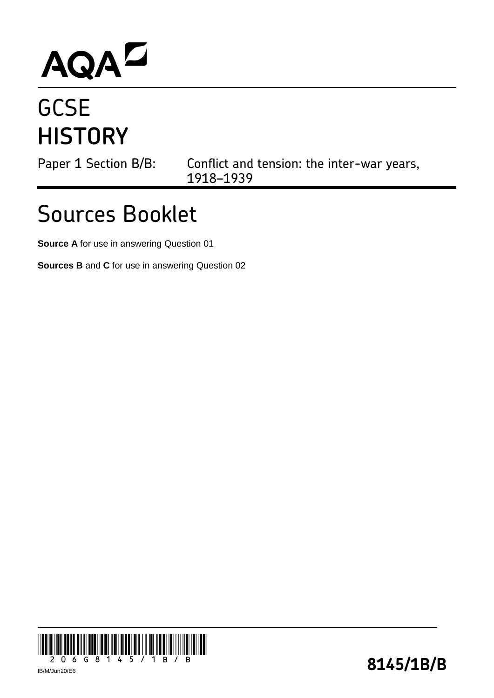## AQAD

## **GCSE HISTORY**

Paper 1 Section B/B: Conflict and tension: the inter-war years, 1918–1939

## Sources Booklet

**Source A** for use in answering Question 01

**Sources B** and **C** for use in answering Question 02

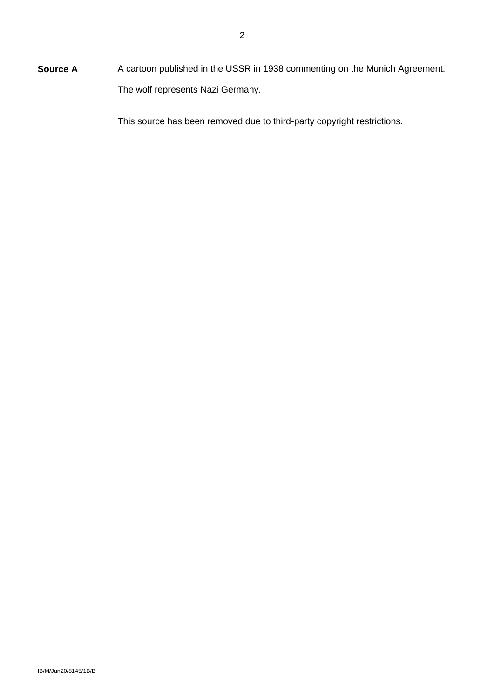**Source A** A cartoon published in the USSR in 1938 commenting on the Munich Agreement. The wolf represents Nazi Germany.

This source has been removed due to third-party copyright restrictions.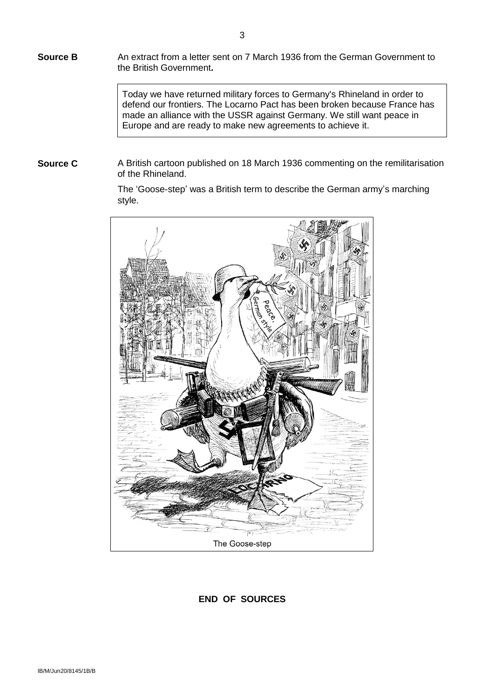**Source B** An extract from a letter sent on 7 March 1936 from the German Government to the British Government**.**

> Today we have returned military forces to Germany's Rhineland in order to defend our frontiers. The Locarno Pact has been broken because France has made an alliance with the USSR against Germany. We still want peace in Europe and are ready to make new agreements to achieve it.

**Source C** A British cartoon published on 18 March 1936 commenting on the remilitarisation of the Rhineland.

> The 'Goose-step' was a British term to describe the German army's marching style.



**END OF SOURCES**